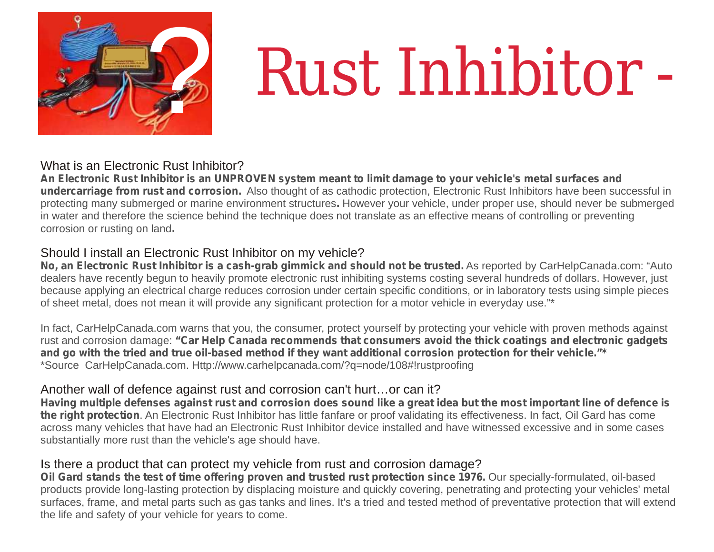

# ? *Rust Inhibitor -*

### What is an Electronic Rust Inhibitor?

**An Electronic Rust Inhibitor is an UNPROVEN system meant to limit damage to your vehicle's metal surfaces and undercarriage from rust and corrosion.** Also thought of as cathodic protection, Electronic Rust Inhibitors have been successful in protecting many submerged or marine environment structures**.** However your vehicle, under proper use, should never be submerged in water and therefore the science behind the technique does not translate as an effective means of controlling or preventing corrosion or rusting on land**.**

## Should I install an Electronic Rust Inhibitor on my vehicle?

**No, an Electronic Rust Inhibitor is a cash-grab gimmick and should not be trusted.** As reported by CarHelpCanada.com: "Auto dealers have recently begun to heavily promote electronic rust inhibiting systems costing several hundreds of dollars. However, just because applying an electrical charge reduces corrosion under certain specific conditions, or in laboratory tests using simple pieces of sheet metal, does not mean it will provide any significant protection for a motor vehicle in everyday use."\*

In fact, CarHelpCanada.com warns that you, the consumer, protect yourself by protecting your vehicle with proven methods against rust and corrosion damage: **"Car Help Canada recommends that consumers avoid the thick coatings and electronic gadgets and go with the tried and true oil-based method if they want additional corrosion protection for their vehicle."\*** \*Source CarHelpCanada.com. Http://www.carhelpcanada.com/?q=node/108#!rustproofing

# Another wall of defence against rust and corrosion can't hurt…or can it?

**Having multiple defenses against rust and corrosion does sound like a great idea but the most important line of defence is the right protection**. An Electronic Rust Inhibitor has little fanfare or proof validating its effectiveness. In fact, Oil Gard has come across many vehicles that have had an Electronic Rust Inhibitor device installed and have witnessed excessive and in some cases substantially more rust than the vehicle's age should have.

### Is there a product that can protect my vehicle from rust and corrosion damage?

**Oil Gard stands the test of time offering proven and trusted rust protection since 1976.** Our specially-formulated, oil-based products provide long-lasting protection by displacing moisture and quickly covering, penetrating and protecting your vehicles' metal surfaces, frame, and metal parts such as gas tanks and lines. It's a tried and tested method of preventative protection that will extend the life and safety of your vehicle for years to come.